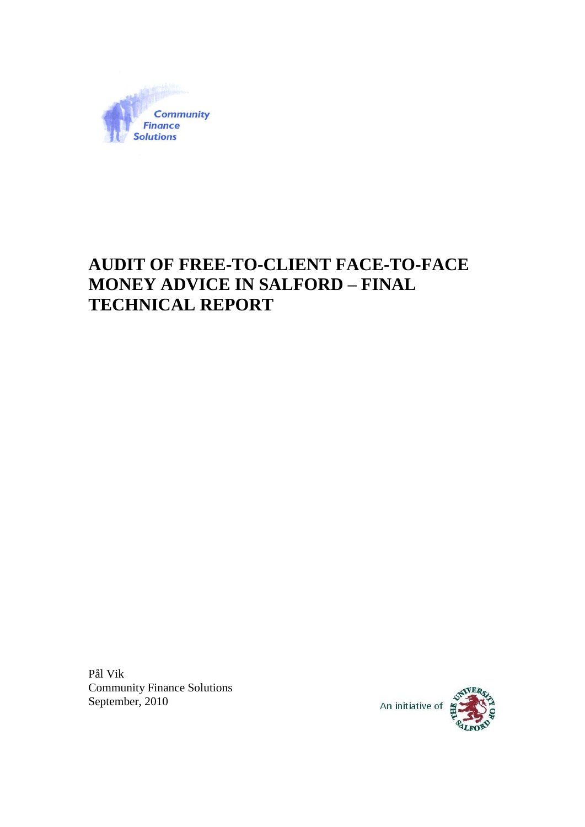

# **AUDIT OF FREE-TO-CLIENT FACE-TO-FACE MONEY ADVICE IN SALFORD – FINAL TECHNICAL REPORT**

Pål Vik Community Finance Solutions September, 2010

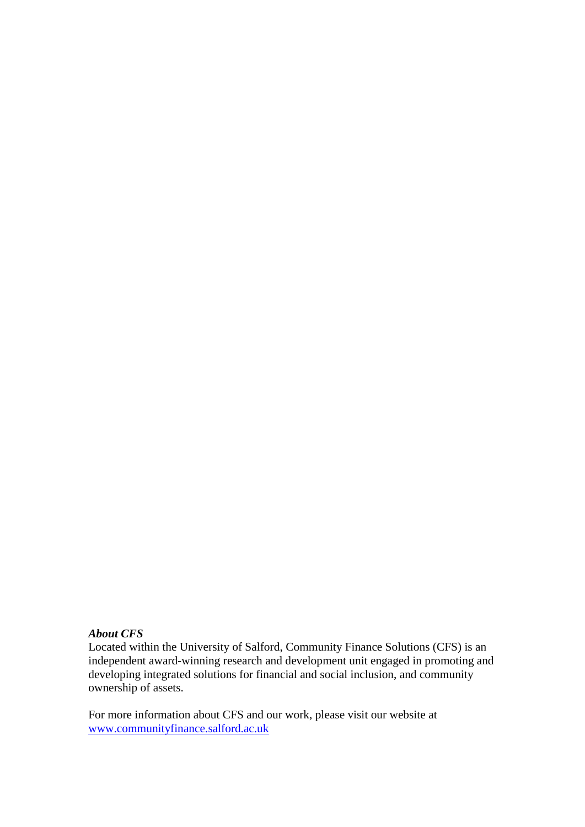## *About CFS*

Located within the University of Salford, Community Finance Solutions (CFS) is an independent award-winning research and development unit engaged in promoting and developing integrated solutions for financial and social inclusion, and community ownership of assets.

For more information about CFS and our work, please visit our website at [www.communityfinance.salford.ac.uk](http://www.communityfinance.salford.ac.uk/)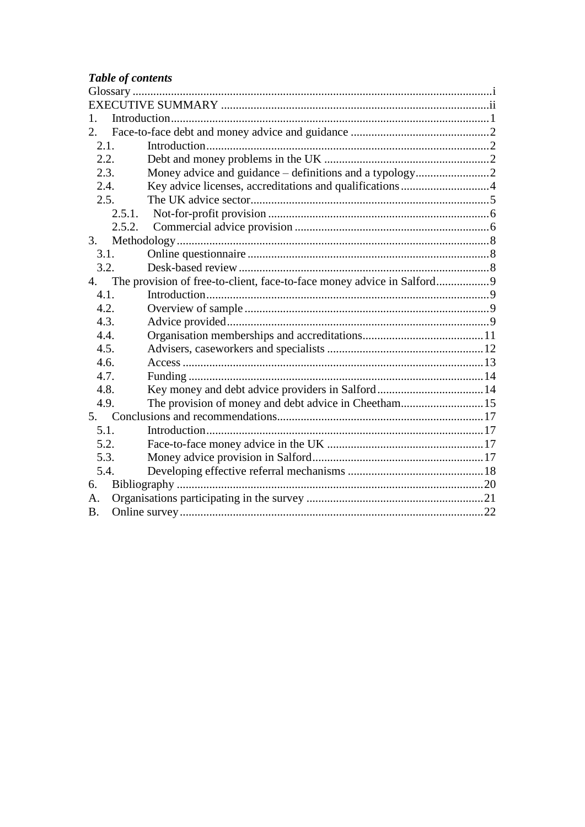# Table of contents

| $\mathbf{1}$ . |                                                                        |  |
|----------------|------------------------------------------------------------------------|--|
| 2.             |                                                                        |  |
| 2.1.           |                                                                        |  |
| 2.2.           |                                                                        |  |
| 2.3.           |                                                                        |  |
| 2.4.           | Key advice licenses, accreditations and qualifications 4               |  |
| 2.5.           |                                                                        |  |
|                | 2.5.1.                                                                 |  |
|                | 2.5.2.                                                                 |  |
| 3.             |                                                                        |  |
| 3.1.           |                                                                        |  |
| 3.2.           |                                                                        |  |
| 4.             | The provision of free-to-client, face-to-face money advice in Salford9 |  |
| 4.1.           |                                                                        |  |
| 4.2.           |                                                                        |  |
| 4.3.           |                                                                        |  |
| 4.4.           |                                                                        |  |
| 4.5.           |                                                                        |  |
| 4.6.           |                                                                        |  |
| 4.7.           |                                                                        |  |
| 4.8.           |                                                                        |  |
| 4.9.           | The provision of money and debt advice in Cheetham15                   |  |
| 5.             |                                                                        |  |
| 5.1.           |                                                                        |  |
| 5.2.           |                                                                        |  |
| 5.3.           |                                                                        |  |
| 5.4.           |                                                                        |  |
| 6.             |                                                                        |  |
| A.             |                                                                        |  |
| <b>B.</b>      |                                                                        |  |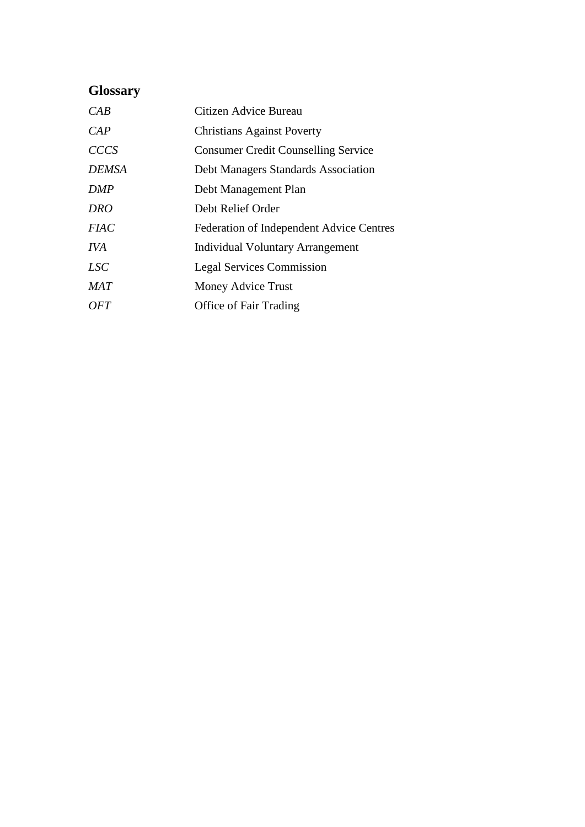# <span id="page-3-0"></span>**Glossary**

| CAB          | Citizen Advice Bureau                      |
|--------------|--------------------------------------------|
| CAP          | <b>Christians Against Poverty</b>          |
| <b>CCCS</b>  | <b>Consumer Credit Counselling Service</b> |
| <b>DEMSA</b> | Debt Managers Standards Association        |
| DMP          | Debt Management Plan                       |
| <b>DRO</b>   | Debt Relief Order                          |
| <i>FIAC</i>  | Federation of Independent Advice Centres   |
| <b>IVA</b>   | <b>Individual Voluntary Arrangement</b>    |
| LSC          | <b>Legal Services Commission</b>           |
| MAT          | Money Advice Trust                         |
| OFT          | <b>Office of Fair Trading</b>              |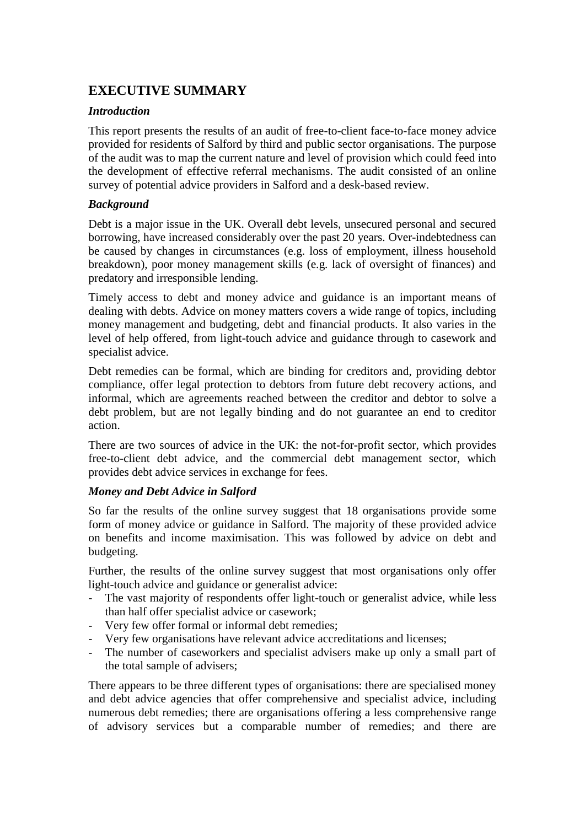## <span id="page-4-0"></span>**EXECUTIVE SUMMARY**

## *Introduction*

This report presents the results of an audit of free-to-client face-to-face money advice provided for residents of Salford by third and public sector organisations. The purpose of the audit was to map the current nature and level of provision which could feed into the development of effective referral mechanisms. The audit consisted of an online survey of potential advice providers in Salford and a desk-based review.

## *Background*

Debt is a major issue in the UK. Overall debt levels, unsecured personal and secured borrowing, have increased considerably over the past 20 years. Over-indebtedness can be caused by changes in circumstances (e.g. loss of employment, illness household breakdown), poor money management skills (e.g. lack of oversight of finances) and predatory and irresponsible lending.

Timely access to debt and money advice and guidance is an important means of dealing with debts. Advice on money matters covers a wide range of topics, including money management and budgeting, debt and financial products. It also varies in the level of help offered, from light-touch advice and guidance through to casework and specialist advice.

Debt remedies can be formal, which are binding for creditors and, providing debtor compliance, offer legal protection to debtors from future debt recovery actions, and informal, which are agreements reached between the creditor and debtor to solve a debt problem, but are not legally binding and do not guarantee an end to creditor action.

There are two sources of advice in the UK: the not-for-profit sector, which provides free-to-client debt advice, and the commercial debt management sector, which provides debt advice services in exchange for fees.

## *Money and Debt Advice in Salford*

So far the results of the online survey suggest that 18 organisations provide some form of money advice or guidance in Salford. The majority of these provided advice on benefits and income maximisation. This was followed by advice on debt and budgeting.

Further, the results of the online survey suggest that most organisations only offer light-touch advice and guidance or generalist advice:

- The vast majority of respondents offer light-touch or generalist advice, while less than half offer specialist advice or casework;
- Very few offer formal or informal debt remedies;
- Very few organisations have relevant advice accreditations and licenses;
- The number of caseworkers and specialist advisers make up only a small part of the total sample of advisers;

There appears to be three different types of organisations: there are specialised money and debt advice agencies that offer comprehensive and specialist advice, including numerous debt remedies; there are organisations offering a less comprehensive range of advisory services but a comparable number of remedies; and there are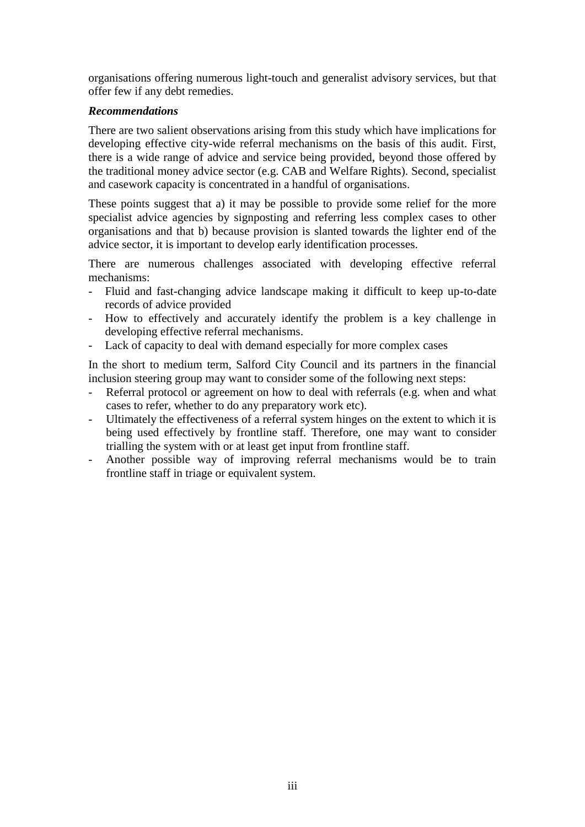organisations offering numerous light-touch and generalist advisory services, but that offer few if any debt remedies.

## *Recommendations*

There are two salient observations arising from this study which have implications for developing effective city-wide referral mechanisms on the basis of this audit. First, there is a wide range of advice and service being provided, beyond those offered by the traditional money advice sector (e.g. CAB and Welfare Rights). Second, specialist and casework capacity is concentrated in a handful of organisations.

These points suggest that a) it may be possible to provide some relief for the more specialist advice agencies by signposting and referring less complex cases to other organisations and that b) because provision is slanted towards the lighter end of the advice sector, it is important to develop early identification processes.

There are numerous challenges associated with developing effective referral mechanisms:

- Fluid and fast-changing advice landscape making it difficult to keep up-to-date records of advice provided
- How to effectively and accurately identify the problem is a key challenge in developing effective referral mechanisms.
- Lack of capacity to deal with demand especially for more complex cases

In the short to medium term, Salford City Council and its partners in the financial inclusion steering group may want to consider some of the following next steps:

- Referral protocol or agreement on how to deal with referrals (e.g. when and what cases to refer, whether to do any preparatory work etc).
- Ultimately the effectiveness of a referral system hinges on the extent to which it is being used effectively by frontline staff. Therefore, one may want to consider trialling the system with or at least get input from frontline staff.
- Another possible way of improving referral mechanisms would be to train frontline staff in triage or equivalent system.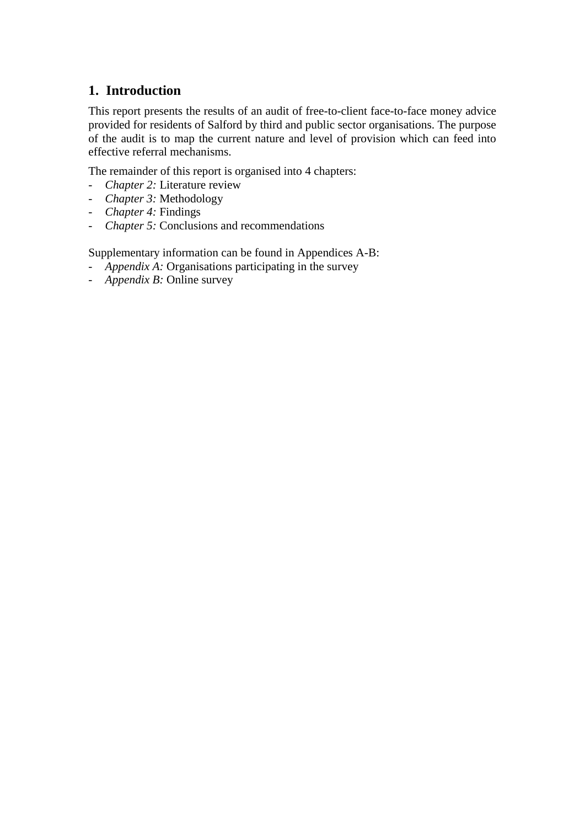## <span id="page-6-0"></span>**1. Introduction**

This report presents the results of an audit of free-to-client face-to-face money advice provided for residents of Salford by third and public sector organisations. The purpose of the audit is to map the current nature and level of provision which can feed into effective referral mechanisms.

The remainder of this report is organised into 4 chapters:

- *Chapter 2:* Literature review
- *Chapter 3:* Methodology
- *Chapter 4:* Findings
- *Chapter 5:* Conclusions and recommendations

Supplementary information can be found in Appendices A-B:

- *Appendix A:* Organisations participating in the survey
- *Appendix B:* Online survey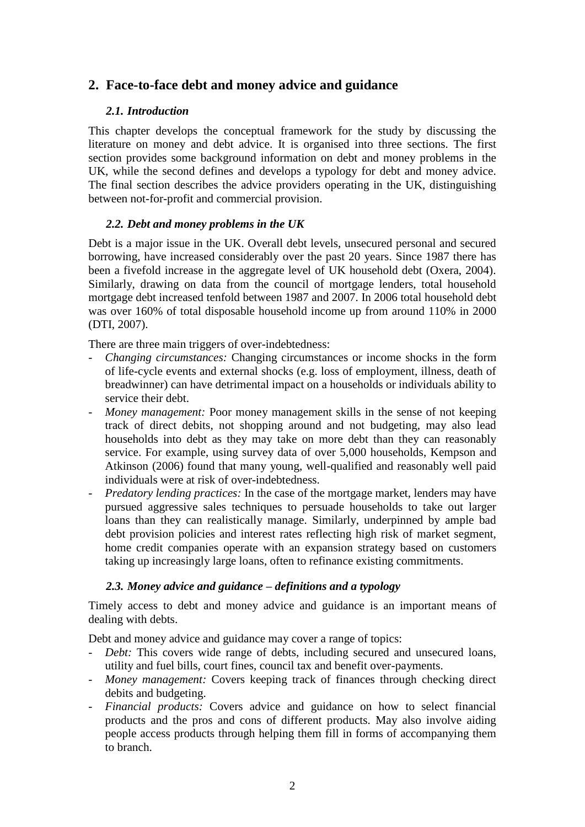## <span id="page-7-1"></span><span id="page-7-0"></span>**2. Face-to-face debt and money advice and guidance**

## *2.1. Introduction*

This chapter develops the conceptual framework for the study by discussing the literature on money and debt advice. It is organised into three sections. The first section provides some background information on debt and money problems in the UK, while the second defines and develops a typology for debt and money advice. The final section describes the advice providers operating in the UK, distinguishing between not-for-profit and commercial provision.

## <span id="page-7-2"></span>*2.2. Debt and money problems in the UK*

Debt is a major issue in the UK. Overall debt levels, unsecured personal and secured borrowing, have increased considerably over the past 20 years. Since 1987 there has been a fivefold increase in the aggregate level of UK household debt (Oxera, 2004). Similarly, drawing on data from the council of mortgage lenders, total household mortgage debt increased tenfold between 1987 and 2007. In 2006 total household debt was over 160% of total disposable household income up from around 110% in 2000 (DTI, 2007).

There are three main triggers of over-indebtedness:

- *Changing circumstances:* Changing circumstances or income shocks in the form of life-cycle events and external shocks (e.g. loss of employment, illness, death of breadwinner) can have detrimental impact on a households or individuals ability to service their debt.
- *Money management:* Poor money management skills in the sense of not keeping track of direct debits, not shopping around and not budgeting, may also lead households into debt as they may take on more debt than they can reasonably service. For example, using survey data of over 5,000 households, Kempson and Atkinson (2006) found that many young, well-qualified and reasonably well paid individuals were at risk of over-indebtedness.
- *Predatory lending practices:* In the case of the mortgage market, lenders may have pursued aggressive sales techniques to persuade households to take out larger loans than they can realistically manage. Similarly, underpinned by ample bad debt provision policies and interest rates reflecting high risk of market segment, home credit companies operate with an expansion strategy based on customers taking up increasingly large loans, often to refinance existing commitments.

## <span id="page-7-3"></span>*2.3. Money advice and guidance – definitions and a typology*

Timely access to debt and money advice and guidance is an important means of dealing with debts.

Debt and money advice and guidance may cover a range of topics:

- *Debt:* This covers wide range of debts, including secured and unsecured loans, utility and fuel bills, court fines, council tax and benefit over-payments.
- *Money management:* Covers keeping track of finances through checking direct debits and budgeting.
- *Financial products:* Covers advice and guidance on how to select financial products and the pros and cons of different products. May also involve aiding people access products through helping them fill in forms of accompanying them to branch.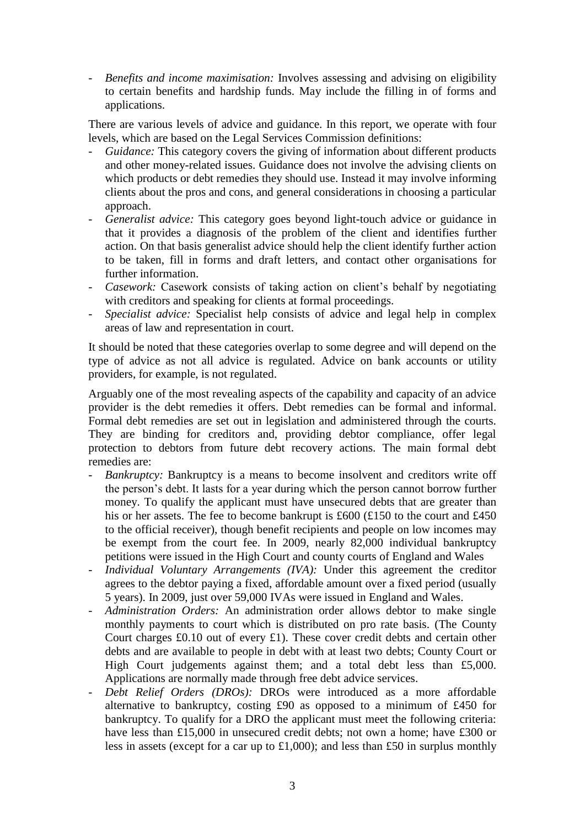- *Benefits and income maximisation:* Involves assessing and advising on eligibility to certain benefits and hardship funds. May include the filling in of forms and applications.

There are various levels of advice and guidance. In this report, we operate with four levels, which are based on the Legal Services Commission definitions:

- *Guidance:* This category covers the giving of information about different products and other money-related issues. Guidance does not involve the advising clients on which products or debt remedies they should use. Instead it may involve informing clients about the pros and cons, and general considerations in choosing a particular approach.
- *Generalist advice:* This category goes beyond light-touch advice or guidance in that it provides a diagnosis of the problem of the client and identifies further action. On that basis generalist advice should help the client identify further action to be taken, fill in forms and draft letters, and contact other organisations for further information.
- Casework: Casework consists of taking action on client's behalf by negotiating with creditors and speaking for clients at formal proceedings.
- *Specialist advice:* Specialist help consists of advice and legal help in complex areas of law and representation in court.

It should be noted that these categories overlap to some degree and will depend on the type of advice as not all advice is regulated. Advice on bank accounts or utility providers, for example, is not regulated.

Arguably one of the most revealing aspects of the capability and capacity of an advice provider is the debt remedies it offers. Debt remedies can be formal and informal. Formal debt remedies are set out in legislation and administered through the courts. They are binding for creditors and, providing debtor compliance, offer legal protection to debtors from future debt recovery actions. The main formal debt remedies are:

- *Bankruptcy:* Bankruptcy is a means to become insolvent and creditors write off the person's debt. It lasts for a year during which the person cannot borrow further money. To qualify the applicant must have unsecured debts that are greater than his or her assets. The fee to become bankrupt is £600 (£150 to the court and £450 to the official receiver), though benefit recipients and people on low incomes may be exempt from the court fee. In 2009, nearly 82,000 individual bankruptcy petitions were issued in the High Court and county courts of England and Wales
- *Individual Voluntary Arrangements (IVA):* Under this agreement the creditor agrees to the debtor paying a fixed, affordable amount over a fixed period (usually 5 years). In 2009, just over 59,000 IVAs were issued in England and Wales.
- *Administration Orders:* An administration order allows debtor to make single monthly payments to court which is distributed on pro rate basis. (The County Court charges £0.10 out of every £1). These cover credit debts and certain other debts and are available to people in debt with at least two debts; County Court or High Court judgements against them; and a total debt less than £5,000. Applications are normally made through free debt advice services.
- *Debt Relief Orders (DROs):* DROs were introduced as a more affordable alternative to bankruptcy, costing £90 as opposed to a minimum of £450 for bankruptcy. To qualify for a DRO the applicant must meet the following criteria: have less than £15,000 in unsecured credit debts; not own a home; have £300 or less in assets (except for a car up to £1,000); and less than £50 in surplus monthly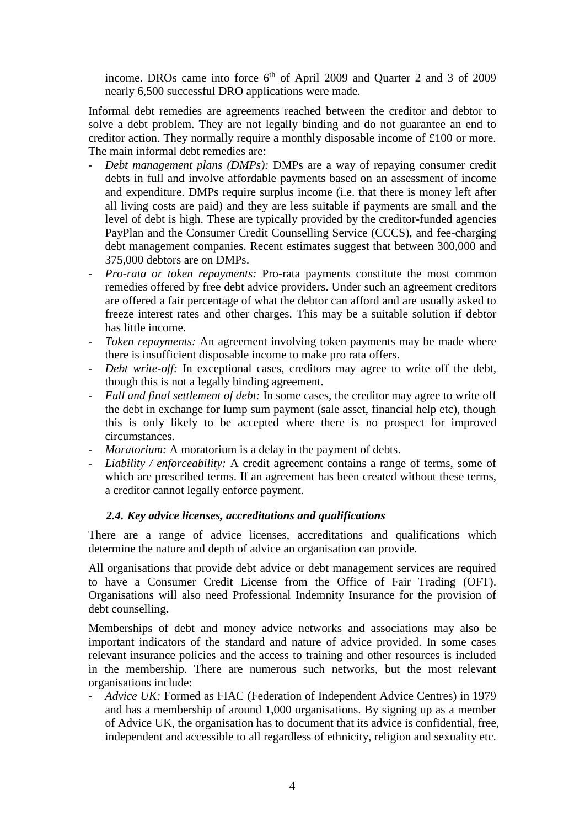income. DROs came into force  $6<sup>th</sup>$  of April 2009 and Quarter 2 and 3 of 2009 nearly 6,500 successful DRO applications were made.

Informal debt remedies are agreements reached between the creditor and debtor to solve a debt problem. They are not legally binding and do not guarantee an end to creditor action. They normally require a monthly disposable income of £100 or more. The main informal debt remedies are:

- *Debt management plans (DMPs):* DMPs are a way of repaying consumer credit debts in full and involve affordable payments based on an assessment of income and expenditure. DMPs require surplus income (i.e. that there is money left after all living costs are paid) and they are less suitable if payments are small and the level of debt is high. These are typically provided by the creditor-funded agencies PayPlan and the Consumer Credit Counselling Service (CCCS), and fee-charging debt management companies. Recent estimates suggest that between 300,000 and 375,000 debtors are on DMPs.
- *Pro-rata or token repayments:* Pro-rata payments constitute the most common remedies offered by free debt advice providers. Under such an agreement creditors are offered a fair percentage of what the debtor can afford and are usually asked to freeze interest rates and other charges. This may be a suitable solution if debtor has little income.
- *Token repayments:* An agreement involving token payments may be made where there is insufficient disposable income to make pro rata offers.
- *Debt write-off:* In exceptional cases, creditors may agree to write off the debt, though this is not a legally binding agreement.
- *Full and final settlement of debt:* In some cases, the creditor may agree to write off the debt in exchange for lump sum payment (sale asset, financial help etc), though this is only likely to be accepted where there is no prospect for improved circumstances.
- *Moratorium:* A moratorium is a delay in the payment of debts.
- *Liability / enforceability:* A credit agreement contains a range of terms, some of which are prescribed terms. If an agreement has been created without these terms, a creditor cannot legally enforce payment.

## <span id="page-9-0"></span>*2.4. Key advice licenses, accreditations and qualifications*

There are a range of advice licenses, accreditations and qualifications which determine the nature and depth of advice an organisation can provide.

All organisations that provide debt advice or debt management services are required to have a Consumer Credit License from the Office of Fair Trading (OFT). Organisations will also need Professional Indemnity Insurance for the provision of debt counselling.

Memberships of debt and money advice networks and associations may also be important indicators of the standard and nature of advice provided. In some cases relevant insurance policies and the access to training and other resources is included in the membership. There are numerous such networks, but the most relevant organisations include:

- *Advice UK:* Formed as FIAC (Federation of Independent Advice Centres) in 1979 and has a membership of around 1,000 organisations. By signing up as a member of Advice UK, the organisation has to document that its advice is confidential, free, independent and accessible to all regardless of ethnicity, religion and sexuality etc.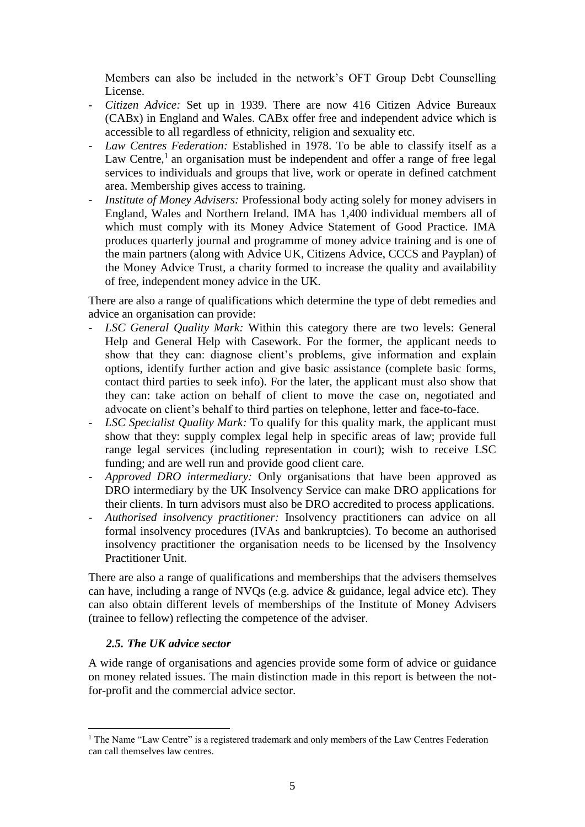<span id="page-10-1"></span>Members can also be included in the network's OFT Group Debt Counselling License.

- *Citizen Advice:* Set up in 1939. There are now 416 Citizen Advice Bureaux (CABx) in England and Wales. CABx offer free and independent advice which is accessible to all regardless of ethnicity, religion and sexuality etc.
- *Law Centres Federation:* Established in 1978. To be able to classify itself as a Law Centre, $<sup>1</sup>$  an organisation must be independent and offer a range of free legal</sup> services to individuals and groups that live, work or operate in defined catchment area. Membership gives access to training.
- *Institute of Money Advisers:* Professional body acting solely for money advisers in England, Wales and Northern Ireland. IMA has 1,400 individual members all of which must comply with its Money Advice Statement of Good Practice. IMA produces quarterly journal and programme of money advice training and is one of the main partners (along with Advice UK, Citizens Advice, CCCS and Payplan) of the Money Advice Trust, a charity formed to increase the quality and availability of free, independent money advice in the UK.

There are also a range of qualifications which determine the type of debt remedies and advice an organisation can provide:

- *LSC General Quality Mark:* Within this category there are two levels: General Help and General Help with Casework. For the former, the applicant needs to show that they can: diagnose client's problems, give information and explain options, identify further action and give basic assistance (complete basic forms, contact third parties to seek info). For the later, the applicant must also show that they can: take action on behalf of client to move the case on, negotiated and advocate on client's behalf to third parties on telephone, letter and face-to-face.
- *LSC Specialist Quality Mark:* To qualify for this quality mark, the applicant must show that they: supply complex legal help in specific areas of law; provide full range legal services (including representation in court); wish to receive LSC funding; and are well run and provide good client care.
- *Approved DRO intermediary:* Only organisations that have been approved as DRO intermediary by the UK Insolvency Service can make DRO applications for their clients. In turn advisors must also be DRO accredited to process applications.
- *Authorised insolvency practitioner:* Insolvency practitioners can advice on all formal insolvency procedures (IVAs and bankruptcies). To become an authorised insolvency practitioner the organisation needs to be licensed by the Insolvency Practitioner Unit.

There are also a range of qualifications and memberships that the advisers themselves can have, including a range of NVQs (e.g. advice & guidance, legal advice etc). They can also obtain different levels of memberships of the Institute of Money Advisers (trainee to fellow) reflecting the competence of the adviser.

#### <span id="page-10-0"></span>*2.5. The UK advice sector*

1

A wide range of organisations and agencies provide some form of advice or guidance on money related issues. The main distinction made in this report is between the notfor-profit and the commercial advice sector.

<sup>&</sup>lt;sup>1</sup> The Name "Law Centre" is a registered trademark and only members of the Law Centres Federation can call themselves law centres.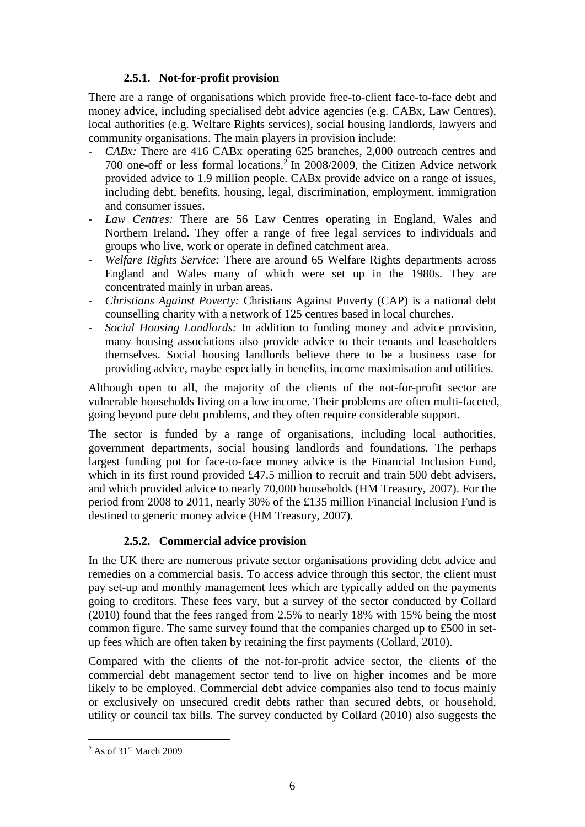## **2.5.1. Not-for-profit provision**

There are a range of organisations which provide free-to-client face-to-face debt and money advice, including specialised debt advice agencies (e.g. CABx, Law Centres), local authorities (e.g. Welfare Rights services), social housing landlords, lawyers and community organisations. The main players in provision include:

- *CABx:* There are 416 CABx operating 625 branches, 2,000 outreach centres and 700 one-off or less formal locations.<sup>2</sup> In 2008/2009, the Citizen Advice network provided advice to 1.9 million people. CABx provide advice on a range of issues, including debt, benefits, housing, legal, discrimination, employment, immigration and consumer issues.
- Law Centres: There are 56 Law Centres operating in England, Wales and Northern Ireland. They offer a range of free legal services to individuals and groups who live, work or operate in defined catchment area.
- *Welfare Rights Service:* There are around 65 Welfare Rights departments across England and Wales many of which were set up in the 1980s. They are concentrated mainly in urban areas.
- *Christians Against Poverty:* Christians Against Poverty (CAP) is a national debt counselling charity with a network of 125 centres based in local churches.
- *Social Housing Landlords:* In addition to funding money and advice provision, many housing associations also provide advice to their tenants and leaseholders themselves. Social housing landlords believe there to be a business case for providing advice, maybe especially in benefits, income maximisation and utilities.

Although open to all, the majority of the clients of the not-for-profit sector are vulnerable households living on a low income. Their problems are often multi-faceted, going beyond pure debt problems, and they often require considerable support.

The sector is funded by a range of organisations, including local authorities, government departments, social housing landlords and foundations. The perhaps largest funding pot for face-to-face money advice is the Financial Inclusion Fund, which in its first round provided £47.5 million to recruit and train 500 debt advisers, and which provided advice to nearly 70,000 households (HM Treasury, 2007). For the period from 2008 to 2011, nearly 30% of the £135 million Financial Inclusion Fund is destined to generic money advice (HM Treasury, 2007).

## **2.5.2. Commercial advice provision**

<span id="page-11-0"></span>In the UK there are numerous private sector organisations providing debt advice and remedies on a commercial basis. To access advice through this sector, the client must pay set-up and monthly management fees which are typically added on the payments going to creditors. These fees vary, but a survey of the sector conducted by Collard (2010) found that the fees ranged from 2.5% to nearly 18% with 15% being the most common figure. The same survey found that the companies charged up to £500 in setup fees which are often taken by retaining the first payments (Collard, 2010).

Compared with the clients of the not-for-profit advice sector, the clients of the commercial debt management sector tend to live on higher incomes and be more likely to be employed. Commercial debt advice companies also tend to focus mainly or exclusively on unsecured credit debts rather than secured debts, or household, utility or council tax bills. The survey conducted by Collard (2010) also suggests the

1

 $2$  As of 31st March 2009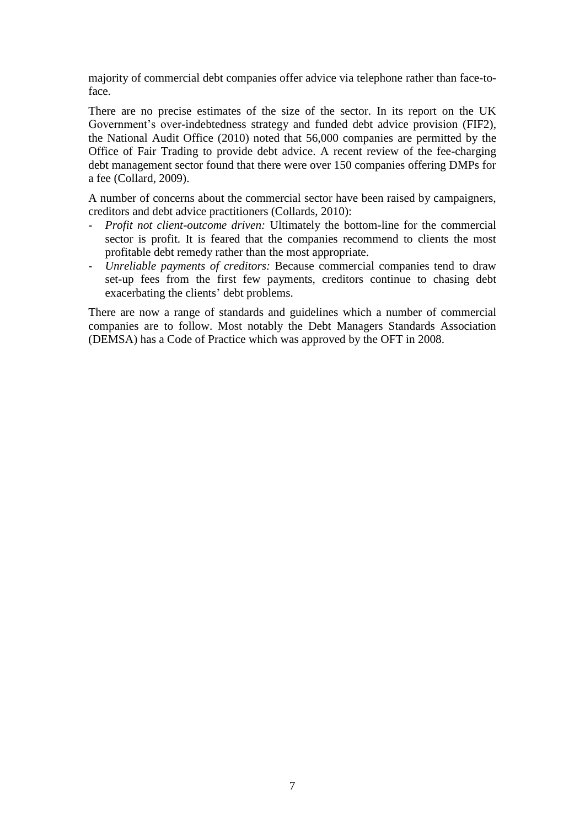majority of commercial debt companies offer advice via telephone rather than face-toface.

There are no precise estimates of the size of the sector. In its report on the UK Government's over-indebtedness strategy and funded debt advice provision (FIF2), the National Audit Office (2010) noted that 56,000 companies are permitted by the Office of Fair Trading to provide debt advice. A recent review of the fee-charging debt management sector found that there were over 150 companies offering DMPs for a fee (Collard, 2009).

A number of concerns about the commercial sector have been raised by campaigners, creditors and debt advice practitioners (Collards, 2010):

- *Profit not client-outcome driven:* Ultimately the bottom-line for the commercial sector is profit. It is feared that the companies recommend to clients the most profitable debt remedy rather than the most appropriate.
- *Unreliable payments of creditors:* Because commercial companies tend to draw set-up fees from the first few payments, creditors continue to chasing debt exacerbating the clients' debt problems.

There are now a range of standards and guidelines which a number of commercial companies are to follow. Most notably the Debt Managers Standards Association (DEMSA) has a Code of Practice which was approved by the OFT in 2008.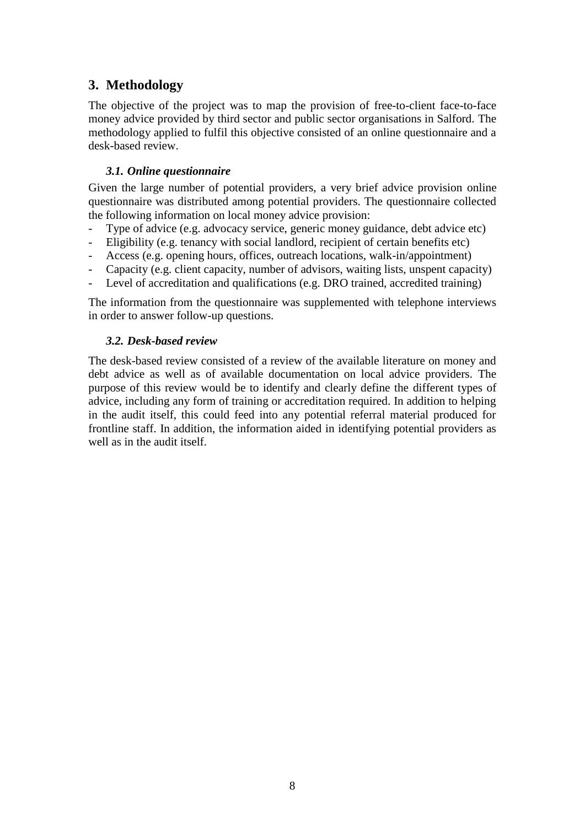## <span id="page-13-0"></span>**3. Methodology**

The objective of the project was to map the provision of free-to-client face-to-face money advice provided by third sector and public sector organisations in Salford. The methodology applied to fulfil this objective consisted of an online questionnaire and a desk-based review.

## <span id="page-13-1"></span>*3.1. Online questionnaire*

Given the large number of potential providers, a very brief advice provision online questionnaire was distributed among potential providers. The questionnaire collected the following information on local money advice provision:

- Type of advice (e.g. advocacy service, generic money guidance, debt advice etc)
- Eligibility (e.g. tenancy with social landlord, recipient of certain benefits etc)
- Access (e.g. opening hours, offices, outreach locations, walk-in/appointment)
- Capacity (e.g. client capacity, number of advisors, waiting lists, unspent capacity)
- Level of accreditation and qualifications (e.g. DRO trained, accredited training)

The information from the questionnaire was supplemented with telephone interviews in order to answer follow-up questions.

## <span id="page-13-2"></span>*3.2. Desk-based review*

The desk-based review consisted of a review of the available literature on money and debt advice as well as of available documentation on local advice providers. The purpose of this review would be to identify and clearly define the different types of advice, including any form of training or accreditation required. In addition to helping in the audit itself, this could feed into any potential referral material produced for frontline staff. In addition, the information aided in identifying potential providers as well as in the audit itself.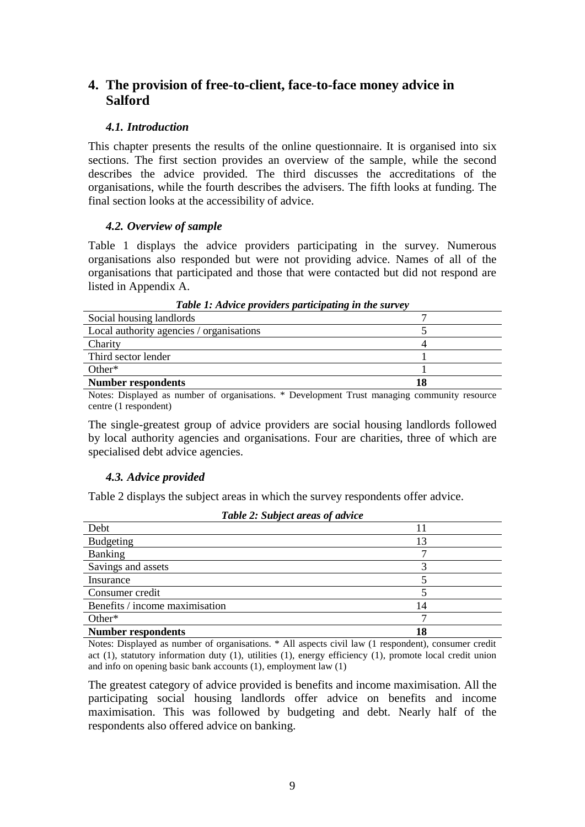## <span id="page-14-0"></span>**4. The provision of free-to-client, face-to-face money advice in Salford**

## <span id="page-14-1"></span>*4.1. Introduction*

This chapter presents the results of the online questionnaire. It is organised into six sections. The first section provides an overview of the sample, while the second describes the advice provided. The third discusses the accreditations of the organisations, while the fourth describes the advisers. The fifth looks at funding. The final section looks at the accessibility of advice.

## <span id="page-14-2"></span>*4.2. Overview of sample*

Table 1 displays the advice providers participating in the survey. Numerous organisations also responded but were not providing advice. Names of all of the organisations that participated and those that were contacted but did not respond are listed in Appendix [A.](#page-26-0)

| Tubic 1. Aurice proruters purilepathic in the survey |  |  |
|------------------------------------------------------|--|--|
| Social housing landlords                             |  |  |
| Local authority agencies / organisations             |  |  |
| Charity                                              |  |  |
| Third sector lender                                  |  |  |
| $Other*$                                             |  |  |
| <b>Number respondents</b><br>18                      |  |  |
|                                                      |  |  |

*Table 1: Advice providers participating in the survey*

Notes: Displayed as number of organisations. \* Development Trust managing community resource centre (1 respondent)

The single-greatest group of advice providers are social housing landlords followed by local authority agencies and organisations. Four are charities, three of which are specialised debt advice agencies.

## <span id="page-14-3"></span>*4.3. Advice provided*

Table 2 displays the subject areas in which the survey respondents offer advice.

| ,                              |    |  |
|--------------------------------|----|--|
| Debt                           |    |  |
| <b>Budgeting</b>               | 13 |  |
| <b>Banking</b>                 |    |  |
| Savings and assets             |    |  |
| Insurance                      |    |  |
| Consumer credit                |    |  |
| Benefits / income maximisation | 14 |  |
| Other*                         |    |  |
| <b>Number respondents</b>      | 18 |  |

*Table 2: Subject areas of advice*

Notes: Displayed as number of organisations. \* All aspects civil law (1 respondent), consumer credit act (1), statutory information duty (1), utilities (1), energy efficiency (1), promote local credit union and info on opening basic bank accounts (1), employment law (1)

The greatest category of advice provided is benefits and income maximisation. All the participating social housing landlords offer advice on benefits and income maximisation. This was followed by budgeting and debt. Nearly half of the respondents also offered advice on banking.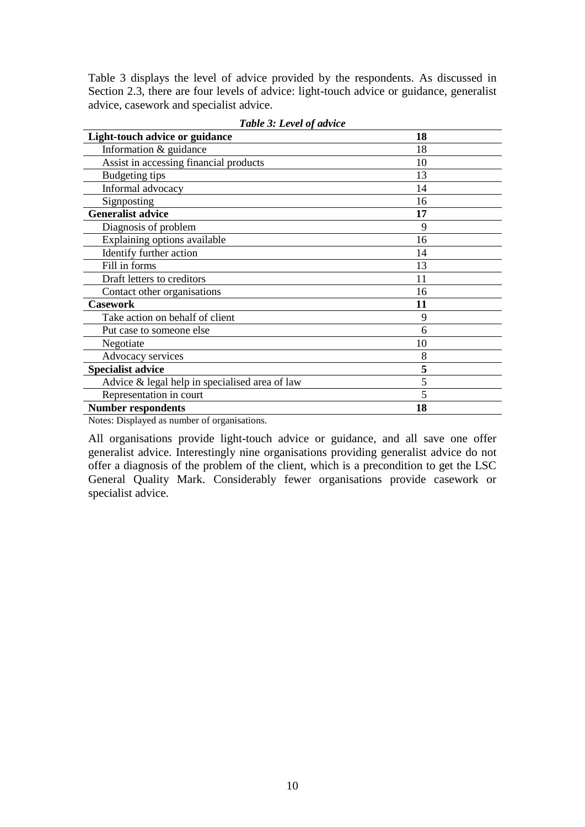Table 3 displays the level of advice provided by the respondents. As discussed in Section [2.3,](#page-7-3) there are four levels of advice: light-touch advice or guidance, generalist advice, casework and specialist advice.

| <b>Light-touch advice or guidance</b>          | 18 |
|------------------------------------------------|----|
| Information & guidance                         | 18 |
| Assist in accessing financial products         | 10 |
| Budgeting tips                                 | 13 |
| Informal advocacy                              | 14 |
| Signposting                                    | 16 |
| <b>Generalist advice</b>                       | 17 |
| Diagnosis of problem                           | 9  |
| Explaining options available                   | 16 |
| Identify further action                        | 14 |
| Fill in forms                                  | 13 |
| Draft letters to creditors                     | 11 |
| Contact other organisations                    | 16 |
| <b>Casework</b>                                | 11 |
| Take action on behalf of client                | 9  |
| Put case to someone else                       | 6  |
| Negotiate                                      | 10 |
| Advocacy services                              | 8  |
| <b>Specialist advice</b>                       | 5  |
| Advice & legal help in specialised area of law | 5  |
| Representation in court                        | 5  |
| <b>Number respondents</b>                      | 18 |

*Table 3: Level of advice*

Notes: Displayed as number of organisations.

All organisations provide light-touch advice or guidance, and all save one offer generalist advice. Interestingly nine organisations providing generalist advice do not offer a diagnosis of the problem of the client, which is a precondition to get the LSC General Quality Mark. Considerably fewer organisations provide casework or specialist advice.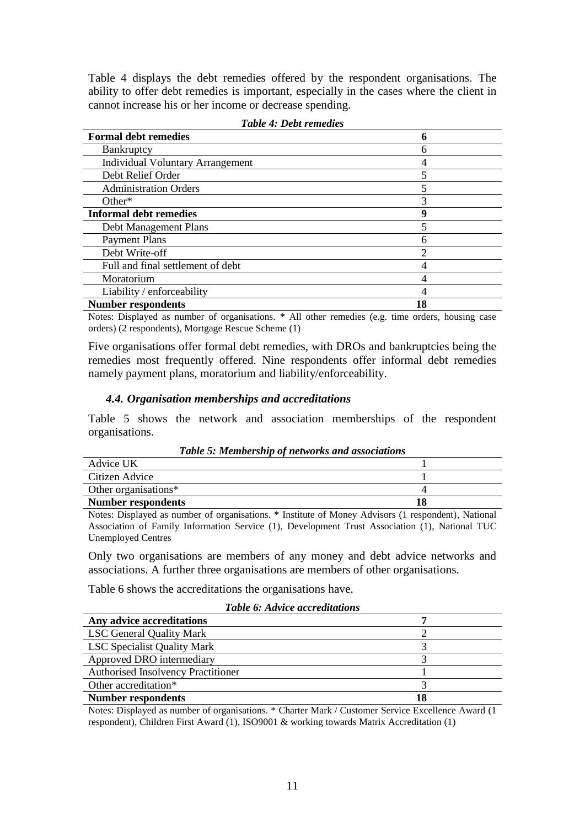Table 4 displays the debt remedies offered by the respondent organisations. The ability to offer debt remedies is important, especially in the cases where the client in cannot increase his or her income or decrease spending.

| <b>Formal debt remedies</b>             |    |
|-----------------------------------------|----|
| <b>Bankruptcy</b>                       | h  |
| <b>Individual Voluntary Arrangement</b> |    |
| Debt Relief Order                       |    |
| <b>Administration Orders</b>            |    |
| Other $*$                               |    |
| <b>Informal debt remedies</b>           | Q  |
| Debt Management Plans                   |    |
| <b>Payment Plans</b>                    |    |
| Debt Write-off                          |    |
| Full and final settlement of debt       |    |
| Moratorium                              |    |
| Liability / enforceability              |    |
| <b>Number respondents</b>               | 18 |

|  |  |  |  | <b>Table 4: Debt remedies</b> |
|--|--|--|--|-------------------------------|
|--|--|--|--|-------------------------------|

Notes: Displayed as number of organisations. \* All other remedies (e.g. time orders, housing case orders) (2 respondents), Mortgage Rescue Scheme (1)

Five organisations offer formal debt remedies, with DROs and bankruptcies being the remedies most frequently offered. Nine respondents offer informal debt remedies namely payment plans, moratorium and liability/enforceability.

#### <span id="page-16-0"></span>*4.4. Organisation memberships and accreditations*

Table 5 shows the network and association memberships of the respondent organisations.

| Advice UK            |                                                                                                   |
|----------------------|---------------------------------------------------------------------------------------------------|
| Citizen Advice       |                                                                                                   |
| Other organisations* |                                                                                                   |
| Number respondents   |                                                                                                   |
|                      | Notes: Displayed as number of organisations * Institute of Money Advisors (1 respondent) National |

*Table 5: Membership of networks and associations*

Notes: Displayed as number of organisations. \* Institute of Money Advisors (1 respondent), National Association of Family Information Service (1), Development Trust Association (1), National TUC Unemployed Centres

Only two organisations are members of any money and debt advice networks and associations. A further three organisations are members of other organisations.

Table 6 shows the accreditations the organisations have.

| <b>Table 6: Advice accreditations</b>     |  |
|-------------------------------------------|--|
| Any advice accreditations                 |  |
| <b>LSC General Quality Mark</b>           |  |
| <b>LSC Specialist Quality Mark</b>        |  |
| Approved DRO intermediary                 |  |
| <b>Authorised Insolvency Practitioner</b> |  |
| Other accreditation*                      |  |
| <b>Number respondents</b><br>18           |  |

Notes: Displayed as number of organisations. \* Charter Mark / Customer Service Excellence Award (1 respondent), Children First Award (1), ISO9001 & working towards Matrix Accreditation (1)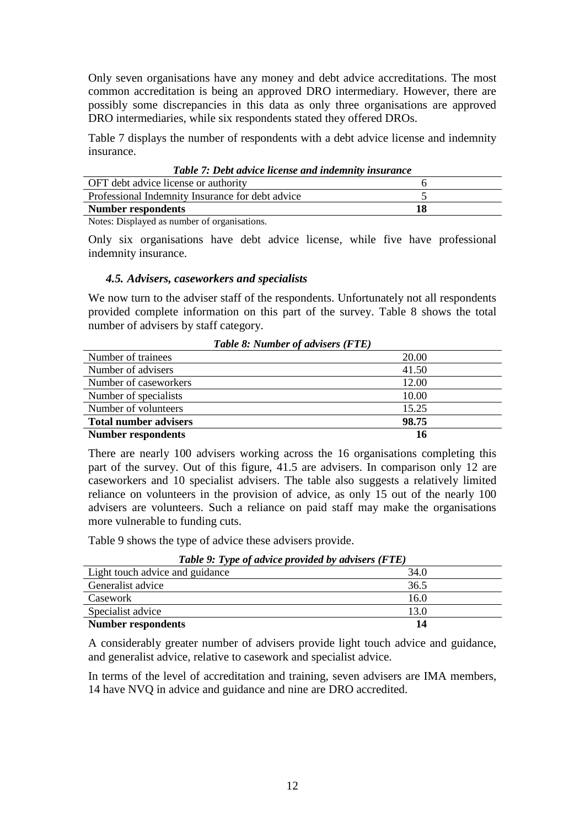<span id="page-17-1"></span>Only seven organisations have any money and debt advice accreditations. The most common accreditation is being an approved DRO intermediary. However, there are possibly some discrepancies in this data as only three organisations are approved DRO intermediaries, while six respondents stated they offered DROs.

Table 7 displays the number of respondents with a debt advice license and indemnity insurance.

| <b>Lable 7: Debi davice license and indemnity insurance</b> |  |  |
|-------------------------------------------------------------|--|--|
| OFT debt advice license or authority                        |  |  |
| Professional Indemnity Insurance for debt advice            |  |  |
| <b>Number respondents</b><br>18                             |  |  |
| .                                                           |  |  |

*Table 7: Debt advice license and indemnity insurance*

Notes: Displayed as number of organisations.

Only six organisations have debt advice license, while five have professional indemnity insurance.

## <span id="page-17-0"></span>*4.5. Advisers, caseworkers and specialists*

We now turn to the adviser staff of the respondents. Unfortunately not all respondents provided complete information on this part of the survey. Table 8 shows the total number of advisers by staff category.

| $1$ uvic 0. Tramver v urrisers (1 11) |       |  |
|---------------------------------------|-------|--|
| Number of trainees                    | 20.00 |  |
| Number of advisers                    | 41.50 |  |
| Number of caseworkers                 | 12.00 |  |
| Number of specialists                 | 10.00 |  |
| Number of volunteers                  | 15.25 |  |
| 98.75<br><b>Total number advisers</b> |       |  |
| <b>Number respondents</b><br>16       |       |  |

*Table 8: Number of advisers (FTE)*

There are nearly 100 advisers working across the 16 organisations completing this part of the survey. Out of this figure, 41.5 are advisers. In comparison only 12 are caseworkers and 10 specialist advisers. The table also suggests a relatively limited reliance on volunteers in the provision of advice, as only 15 out of the nearly 100 advisers are volunteers. Such a reliance on paid staff may make the organisations more vulnerable to funding cuts.

Table 9 shows the type of advice these advisers provide.

| Table 9: Type of advice provided by advisers (FTE) |      |  |
|----------------------------------------------------|------|--|
| Light touch advice and guidance                    | 34.0 |  |
| Generalist advice                                  | 36.5 |  |
| Casework                                           | 16.0 |  |
| Specialist advice                                  | 13.0 |  |
| <b>Number respondents</b><br>14                    |      |  |

*Table 9: Type of advice provided by advisers (FTE)*

A considerably greater number of advisers provide light touch advice and guidance, and generalist advice, relative to casework and specialist advice.

In terms of the level of accreditation and training, seven advisers are IMA members, 14 have NVQ in advice and guidance and nine are DRO accredited.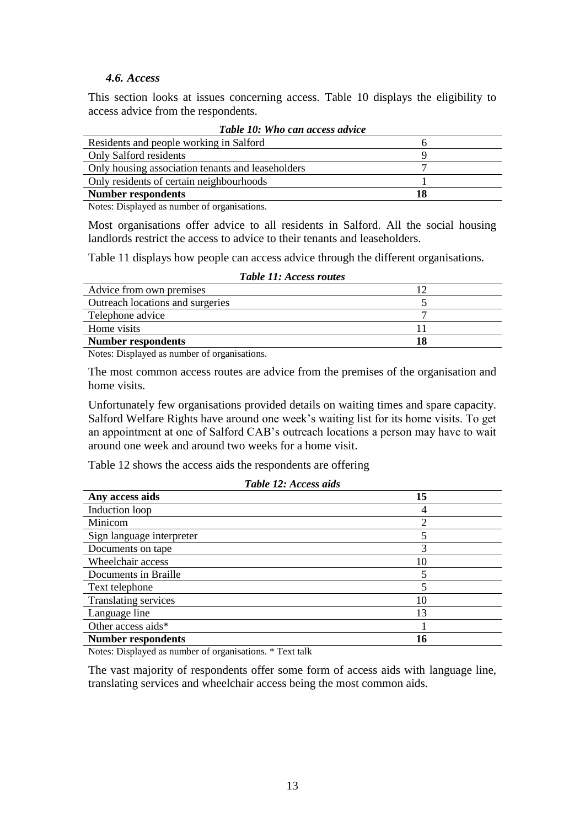### *4.6. Access*

<span id="page-18-0"></span>This section looks at issues concerning access. Table 10 displays the eligibility to access advice from the respondents.

| Tuble TV. Who can access auvice                   |    |  |  |  |
|---------------------------------------------------|----|--|--|--|
| Residents and people working in Salford           |    |  |  |  |
| Only Salford residents                            |    |  |  |  |
| Only housing association tenants and leaseholders |    |  |  |  |
| Only residents of certain neighbourhoods          |    |  |  |  |
| <b>Number respondents</b>                         | 18 |  |  |  |

|  |  |  |  |  | Table 10: Who can access advice |  |
|--|--|--|--|--|---------------------------------|--|
|--|--|--|--|--|---------------------------------|--|

Notes: Displayed as number of organisations.

Most organisations offer advice to all residents in Salford. All the social housing landlords restrict the access to advice to their tenants and leaseholders.

Table 11 displays how people can access advice through the different organisations.

| <b>Table 11: Access routes</b>   |    |
|----------------------------------|----|
| Advice from own premises         |    |
| Outreach locations and surgeries |    |
| Telephone advice                 |    |
| Home visits                      |    |
| <b>Number respondents</b>        | 18 |
|                                  |    |

Notes: Displayed as number of organisations.

The most common access routes are advice from the premises of the organisation and home visits.

Unfortunately few organisations provided details on waiting times and spare capacity. Salford Welfare Rights have around one week's waiting list for its home visits. To get an appointment at one of Salford CAB's outreach locations a person may have to wait around one week and around two weeks for a home visit.

Table 12 shows the access aids the respondents are offering

| Table 12: Access aids     |    |  |  |  |
|---------------------------|----|--|--|--|
| Any access aids           | 15 |  |  |  |
| Induction loop            |    |  |  |  |
| Minicom                   | ◠  |  |  |  |
| Sign language interpreter | 5  |  |  |  |
| Documents on tape         | 3  |  |  |  |
| Wheelchair access         | 10 |  |  |  |
| Documents in Braille      | 5  |  |  |  |
| Text telephone            |    |  |  |  |
| Translating services      | 10 |  |  |  |
| Language line             | 13 |  |  |  |
| Other access aids*        |    |  |  |  |
| <b>Number respondents</b> | 16 |  |  |  |

Notes: Displayed as number of organisations. \* Text talk

The vast majority of respondents offer some form of access aids with language line, translating services and wheelchair access being the most common aids.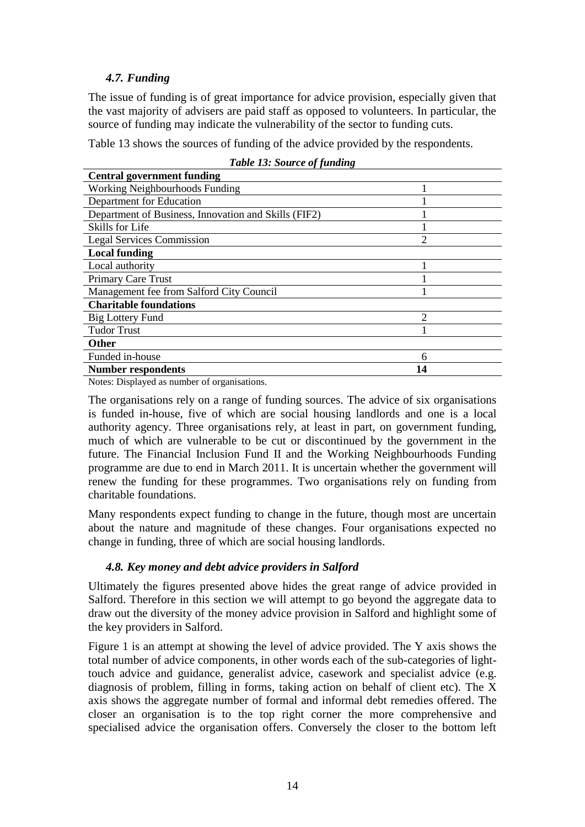## *4.7. Funding*

The issue of funding is of great importance for advice provision, especially given that the vast majority of advisers are paid staff as opposed to volunteers. In particular, the source of funding may indicate the vulnerability of the sector to funding cuts.

Table 13 shows the sources of funding of the advice provided by the respondents.

| <b>Central government funding</b>                    |                |
|------------------------------------------------------|----------------|
| <b>Working Neighbourhoods Funding</b>                |                |
| Department for Education                             |                |
| Department of Business, Innovation and Skills (FIF2) |                |
| Skills for Life                                      |                |
| <b>Legal Services Commission</b>                     | $\overline{2}$ |
| <b>Local funding</b>                                 |                |
| Local authority                                      |                |
| <b>Primary Care Trust</b>                            |                |
| Management fee from Salford City Council             |                |
| <b>Charitable foundations</b>                        |                |
| <b>Big Lottery Fund</b>                              | $\overline{2}$ |
| <b>Tudor Trust</b>                                   |                |
| Other                                                |                |
| Funded in-house                                      | 6              |
| <b>Number respondents</b>                            | 14             |

|  |  |  |  | <b>Table 13: Source of funding</b> |  |  |
|--|--|--|--|------------------------------------|--|--|
|--|--|--|--|------------------------------------|--|--|

Notes: Displayed as number of organisations.

The organisations rely on a range of funding sources. The advice of six organisations is funded in-house, five of which are social housing landlords and one is a local authority agency. Three organisations rely, at least in part, on government funding, much of which are vulnerable to be cut or discontinued by the government in the future. The Financial Inclusion Fund II and the Working Neighbourhoods Funding programme are due to end in March 2011. It is uncertain whether the government will renew the funding for these programmes. Two organisations rely on funding from charitable foundations.

Many respondents expect funding to change in the future, though most are uncertain about the nature and magnitude of these changes. Four organisations expected no change in funding, three of which are social housing landlords.

## <span id="page-19-0"></span>*4.8. Key money and debt advice providers in Salford*

Ultimately the figures presented above hides the great range of advice provided in Salford. Therefore in this section we will attempt to go beyond the aggregate data to draw out the diversity of the money advice provision in Salford and highlight some of the key providers in Salford.

Figure 1 is an attempt at showing the level of advice provided. The Y axis shows the total number of advice components, in other words each of the sub-categories of lighttouch advice and guidance, generalist advice, casework and specialist advice (e.g. diagnosis of problem, filling in forms, taking action on behalf of client etc). The X axis shows the aggregate number of formal and informal debt remedies offered. The closer an organisation is to the top right corner the more comprehensive and specialised advice the organisation offers. Conversely the closer to the bottom left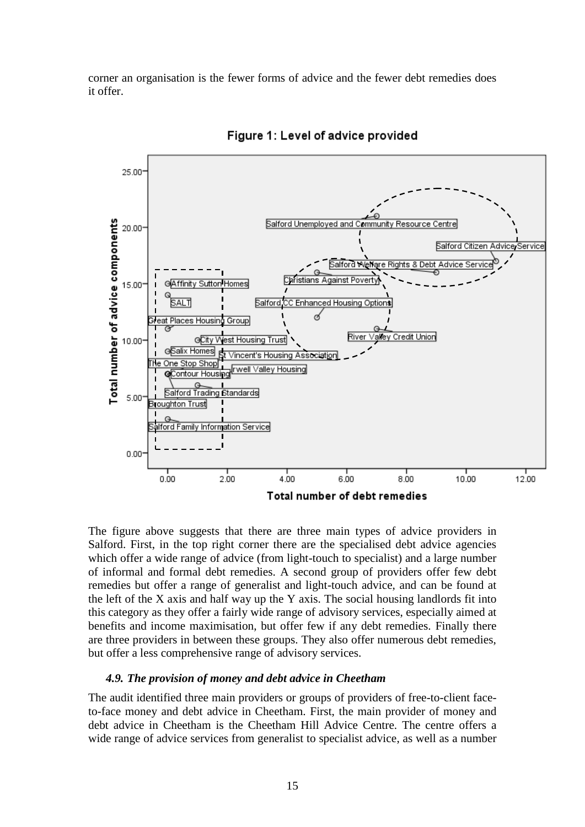corner an organisation is the fewer forms of advice and the fewer debt remedies does it offer.



Figure 1: Level of advice provided

The figure above suggests that there are three main types of advice providers in Salford. First, in the top right corner there are the specialised debt advice agencies which offer a wide range of advice (from light-touch to specialist) and a large number of informal and formal debt remedies. A second group of providers offer few debt remedies but offer a range of generalist and light-touch advice, and can be found at the left of the X axis and half way up the Y axis. The social housing landlords fit into this category as they offer a fairly wide range of advisory services, especially aimed at benefits and income maximisation, but offer few if any debt remedies. Finally there are three providers in between these groups. They also offer numerous debt remedies, but offer a less comprehensive range of advisory services.

#### <span id="page-20-0"></span>*4.9. The provision of money and debt advice in Cheetham*

The audit identified three main providers or groups of providers of free-to-client faceto-face money and debt advice in Cheetham. First, the main provider of money and debt advice in Cheetham is the Cheetham Hill Advice Centre. The centre offers a wide range of advice services from generalist to specialist advice, as well as a number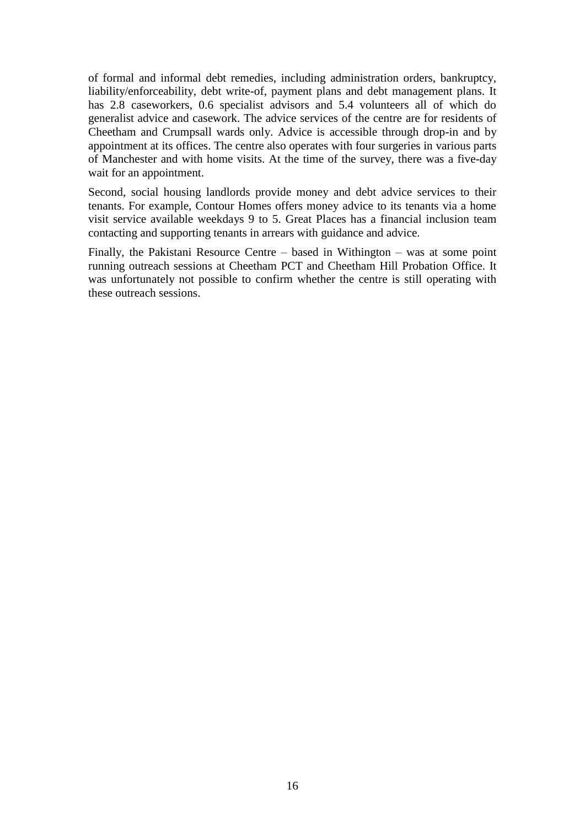of formal and informal debt remedies, including administration orders, bankruptcy, liability/enforceability, debt write-of, payment plans and debt management plans. It has 2.8 caseworkers, 0.6 specialist advisors and 5.4 volunteers all of which do generalist advice and casework. The advice services of the centre are for residents of Cheetham and Crumpsall wards only. Advice is accessible through drop-in and by appointment at its offices. The centre also operates with four surgeries in various parts of Manchester and with home visits. At the time of the survey, there was a five-day wait for an appointment.

Second, social housing landlords provide money and debt advice services to their tenants. For example, Contour Homes offers money advice to its tenants via a home visit service available weekdays 9 to 5. Great Places has a financial inclusion team contacting and supporting tenants in arrears with guidance and advice.

Finally, the Pakistani Resource Centre – based in Withington – was at some point running outreach sessions at Cheetham PCT and Cheetham Hill Probation Office. It was unfortunately not possible to confirm whether the centre is still operating with these outreach sessions.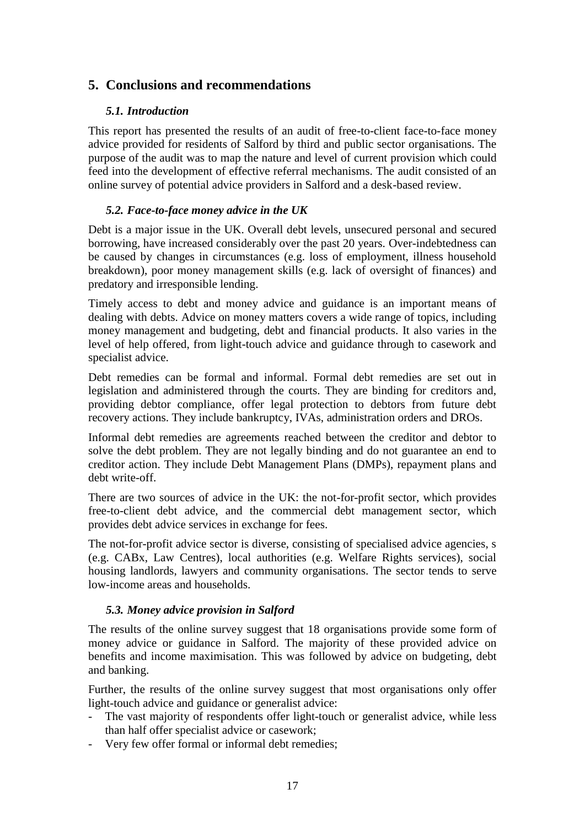## <span id="page-22-1"></span><span id="page-22-0"></span>**5. Conclusions and recommendations**

## *5.1. Introduction*

This report has presented the results of an audit of free-to-client face-to-face money advice provided for residents of Salford by third and public sector organisations. The purpose of the audit was to map the nature and level of current provision which could feed into the development of effective referral mechanisms. The audit consisted of an online survey of potential advice providers in Salford and a desk-based review.

## <span id="page-22-2"></span>*5.2. Face-to-face money advice in the UK*

Debt is a major issue in the UK. Overall debt levels, unsecured personal and secured borrowing, have increased considerably over the past 20 years. Over-indebtedness can be caused by changes in circumstances (e.g. loss of employment, illness household breakdown), poor money management skills (e.g. lack of oversight of finances) and predatory and irresponsible lending.

Timely access to debt and money advice and guidance is an important means of dealing with debts. Advice on money matters covers a wide range of topics, including money management and budgeting, debt and financial products. It also varies in the level of help offered, from light-touch advice and guidance through to casework and specialist advice.

Debt remedies can be formal and informal. Formal debt remedies are set out in legislation and administered through the courts. They are binding for creditors and, providing debtor compliance, offer legal protection to debtors from future debt recovery actions. They include bankruptcy, IVAs, administration orders and DROs.

Informal debt remedies are agreements reached between the creditor and debtor to solve the debt problem. They are not legally binding and do not guarantee an end to creditor action. They include Debt Management Plans (DMPs), repayment plans and debt write-off.

There are two sources of advice in the UK: the not-for-profit sector, which provides free-to-client debt advice, and the commercial debt management sector, which provides debt advice services in exchange for fees.

The not-for-profit advice sector is diverse, consisting of specialised advice agencies, s (e.g. CABx, Law Centres), local authorities (e.g. Welfare Rights services), social housing landlords, lawyers and community organisations. The sector tends to serve low-income areas and households.

## <span id="page-22-3"></span>*5.3. Money advice provision in Salford*

The results of the online survey suggest that 18 organisations provide some form of money advice or guidance in Salford. The majority of these provided advice on benefits and income maximisation. This was followed by advice on budgeting, debt and banking.

Further, the results of the online survey suggest that most organisations only offer light-touch advice and guidance or generalist advice:

- The vast majority of respondents offer light-touch or generalist advice, while less than half offer specialist advice or casework;
- Very few offer formal or informal debt remedies;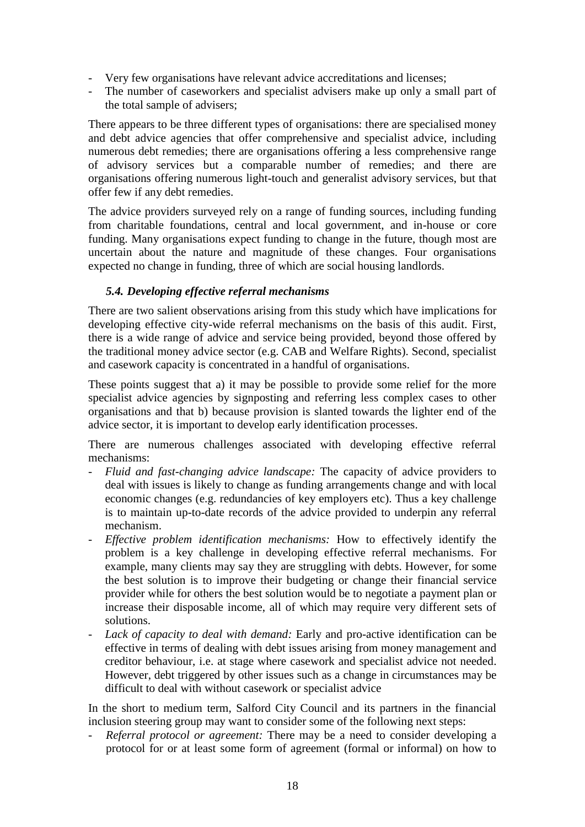- Very few organisations have relevant advice accreditations and licenses;
- The number of caseworkers and specialist advisers make up only a small part of the total sample of advisers;

There appears to be three different types of organisations: there are specialised money and debt advice agencies that offer comprehensive and specialist advice, including numerous debt remedies; there are organisations offering a less comprehensive range of advisory services but a comparable number of remedies; and there are organisations offering numerous light-touch and generalist advisory services, but that offer few if any debt remedies.

The advice providers surveyed rely on a range of funding sources, including funding from charitable foundations, central and local government, and in-house or core funding. Many organisations expect funding to change in the future, though most are uncertain about the nature and magnitude of these changes. Four organisations expected no change in funding, three of which are social housing landlords.

## <span id="page-23-0"></span>*5.4. Developing effective referral mechanisms*

There are two salient observations arising from this study which have implications for developing effective city-wide referral mechanisms on the basis of this audit. First, there is a wide range of advice and service being provided, beyond those offered by the traditional money advice sector (e.g. CAB and Welfare Rights). Second, specialist and casework capacity is concentrated in a handful of organisations.

These points suggest that a) it may be possible to provide some relief for the more specialist advice agencies by signposting and referring less complex cases to other organisations and that b) because provision is slanted towards the lighter end of the advice sector, it is important to develop early identification processes.

There are numerous challenges associated with developing effective referral mechanisms:

- *Fluid and fast-changing advice landscape:* The capacity of advice providers to deal with issues is likely to change as funding arrangements change and with local economic changes (e.g. redundancies of key employers etc). Thus a key challenge is to maintain up-to-date records of the advice provided to underpin any referral mechanism.
- *Effective problem identification mechanisms:* How to effectively identify the problem is a key challenge in developing effective referral mechanisms. For example, many clients may say they are struggling with debts. However, for some the best solution is to improve their budgeting or change their financial service provider while for others the best solution would be to negotiate a payment plan or increase their disposable income, all of which may require very different sets of solutions.
- *Lack of capacity to deal with demand:* Early and pro-active identification can be effective in terms of dealing with debt issues arising from money management and creditor behaviour, i.e. at stage where casework and specialist advice not needed. However, debt triggered by other issues such as a change in circumstances may be difficult to deal with without casework or specialist advice

In the short to medium term, Salford City Council and its partners in the financial inclusion steering group may want to consider some of the following next steps:

- *Referral protocol or agreement:* There may be a need to consider developing a protocol for or at least some form of agreement (formal or informal) on how to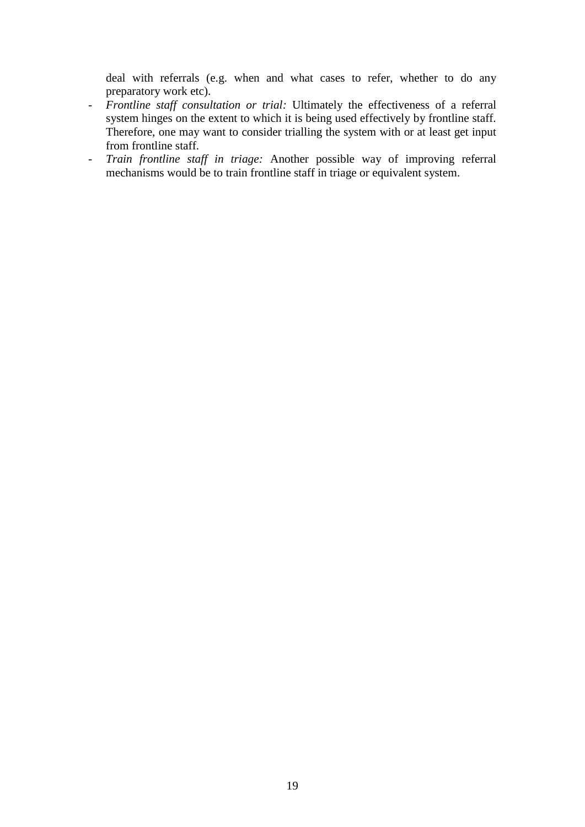deal with referrals (e.g. when and what cases to refer, whether to do any preparatory work etc).

- *Frontline staff consultation or trial:* Ultimately the effectiveness of a referral system hinges on the extent to which it is being used effectively by frontline staff. Therefore, one may want to consider trialling the system with or at least get input from frontline staff.
- *Train frontline staff in triage:* Another possible way of improving referral mechanisms would be to train frontline staff in triage or equivalent system.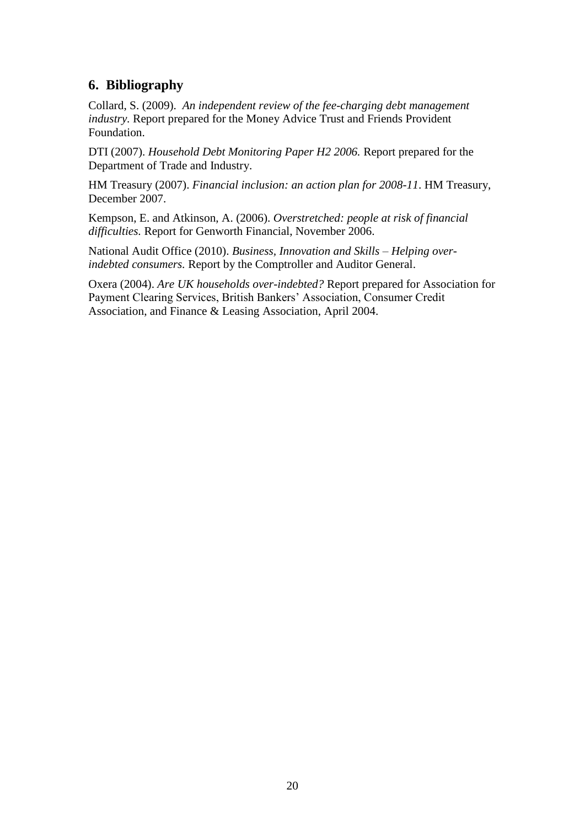## <span id="page-25-0"></span>**6. Bibliography**

Collard, S. (2009). *An independent review of the fee-charging debt management industry.* Report prepared for the Money Advice Trust and Friends Provident Foundation.

DTI (2007). *Household Debt Monitoring Paper H2 2006.* Report prepared for the Department of Trade and Industry.

HM Treasury (2007). *Financial inclusion: an action plan for 2008-11*. HM Treasury, December 2007.

Kempson, E. and Atkinson, A. (2006). *Overstretched: people at risk of financial difficulties.* Report for Genworth Financial, November 2006.

National Audit Office (2010). *Business, Innovation and Skills – Helping overindebted consumers.* Report by the Comptroller and Auditor General.

Oxera (2004). *Are UK households over-indebted?* Report prepared for Association for Payment Clearing Services, British Bankers' Association, Consumer Credit Association, and Finance & Leasing Association, April 2004.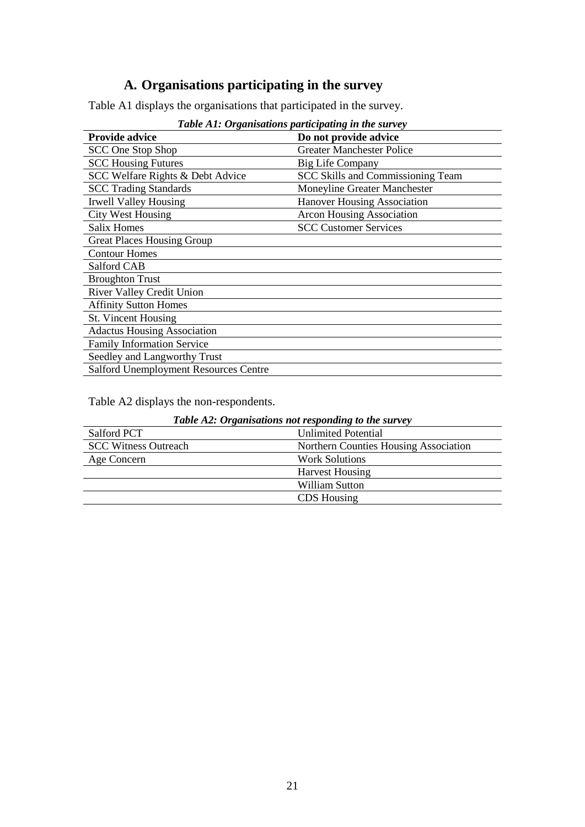# **A. Organisations participating in the survey**

<span id="page-26-0"></span>Table A1 displays the organisations that participated in the survey.

| Tubic AI. Organisations participating in the survey |                                    |  |  |  |  |
|-----------------------------------------------------|------------------------------------|--|--|--|--|
| <b>Provide advice</b>                               | Do not provide advice              |  |  |  |  |
| SCC One Stop Shop                                   | <b>Greater Manchester Police</b>   |  |  |  |  |
| <b>SCC Housing Futures</b>                          | <b>Big Life Company</b>            |  |  |  |  |
| SCC Welfare Rights & Debt Advice                    | SCC Skills and Commissioning Team  |  |  |  |  |
| <b>SCC Trading Standards</b>                        | Moneyline Greater Manchester       |  |  |  |  |
| Irwell Valley Housing                               | <b>Hanover Housing Association</b> |  |  |  |  |
| <b>City West Housing</b>                            | <b>Arcon Housing Association</b>   |  |  |  |  |
| <b>Salix Homes</b>                                  | <b>SCC Customer Services</b>       |  |  |  |  |
| <b>Great Places Housing Group</b>                   |                                    |  |  |  |  |
| <b>Contour Homes</b>                                |                                    |  |  |  |  |
| Salford CAB                                         |                                    |  |  |  |  |
| <b>Broughton Trust</b>                              |                                    |  |  |  |  |
| River Valley Credit Union                           |                                    |  |  |  |  |
| <b>Affinity Sutton Homes</b>                        |                                    |  |  |  |  |
| St. Vincent Housing                                 |                                    |  |  |  |  |
| <b>Adactus Housing Association</b>                  |                                    |  |  |  |  |
| <b>Family Information Service</b>                   |                                    |  |  |  |  |
| Seedley and Langworthy Trust                        |                                    |  |  |  |  |
| <b>Salford Unemployment Resources Centre</b>        |                                    |  |  |  |  |

*Table A1: Organisations participating in the survey*

Table A2 displays the non-respondents.

| <b>Table A2: Organisations not responding to the survey</b> |                                       |  |  |
|-------------------------------------------------------------|---------------------------------------|--|--|
| Salford PCT                                                 | <b>Unlimited Potential</b>            |  |  |
| <b>SCC Witness Outreach</b>                                 | Northern Counties Housing Association |  |  |
| Age Concern                                                 | <b>Work Solutions</b>                 |  |  |
|                                                             | <b>Harvest Housing</b>                |  |  |
|                                                             | William Sutton                        |  |  |
|                                                             | CDS Housing                           |  |  |
|                                                             |                                       |  |  |

*Table A2: Organisations not responding to the survey*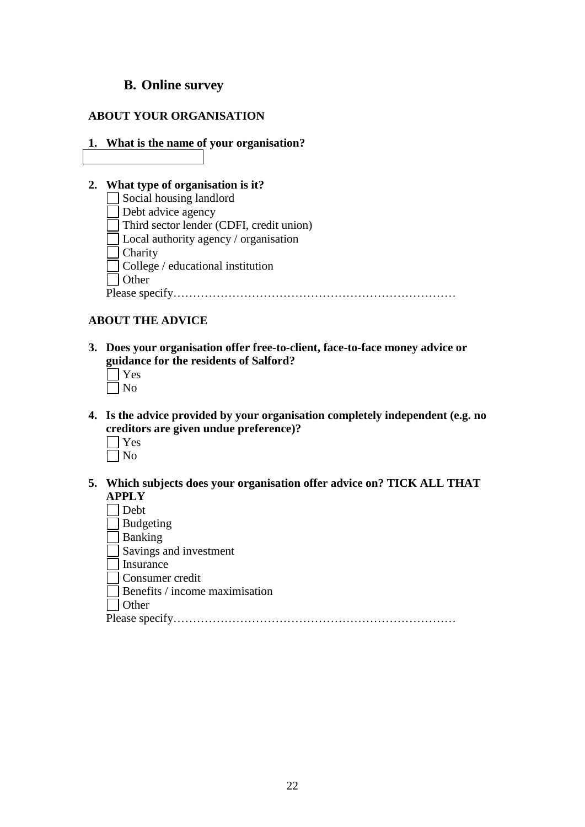## <span id="page-27-0"></span>**B. Online survey**

## **ABOUT YOUR ORGANISATION**

#### **1. What is the name of your organisation?**

## **2. What type of organisation is it?**

| Social housing landlord                       |
|-----------------------------------------------|
| Debt advice agency                            |
| Third sector lender (CDFI, credit union)      |
| $\vert$ Local authority agency / organisation |
| $\vert$ Charity                               |
| $\vert$ College / educational institution     |
| <b>Other</b>                                  |
| Please specify                                |

## **ABOUT THE ADVICE**

**3. Does your organisation offer free-to-client, face-to-face money advice or guidance for the residents of Salford?**

- **4. Is the advice provided by your organisation completely independent (e.g. no creditors are given undue preference)?**
	- Yes  $\neg$  No
- **5. Which subjects does your organisation offer advice on? TICK ALL THAT APPLY**

Debt

Budgeting

Banking

 $\overline{\Box}$  Savings and investment

Insurance

Consumer credit

Benefits / income maximisation

Other

Please specify………………………………………………………………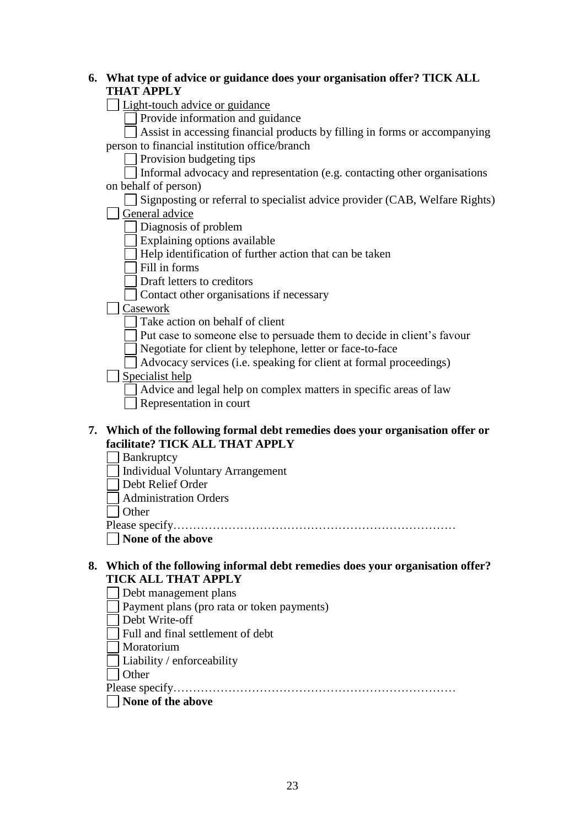## **6. What type of advice or guidance does your organisation offer? TICK ALL THAT APPLY**

□ Light-touch advice or guidance

Provide information and guidance

Assist in accessing financial products by filling in forms or accompanying person to financial institution office/branch

Provision budgeting tips

 $\Box$  Informal advocacy and representation (e.g. contacting other organisations on behalf of person)

 $\Box$  Signposting or referral to specialist advice provider (CAB, Welfare Rights)

General advice

Diagnosis of problem

Explaining options available

Help identification of further action that can be taken

 $\Box$  Fill in forms

Draft letters to creditors

Contact other organisations if necessary

Casework

Take action on behalf of client

Put case to someone else to persuade them to decide in client's favour

Negotiate for client by telephone, letter or face-to-face

 $\Box$  Advocacy services (i.e. speaking for client at formal proceedings)

 $\Box$  Specialist help

Advice and legal help on complex matters in specific areas of law

Representation in court

## **7. Which of the following formal debt remedies does your organisation offer or facilitate? TICK ALL THAT APPLY**

Bankruptcy

Individual Voluntary Arrangement

Debt Relief Order

Administration Orders

□ Other

Please specify………………………………………………………………

**None of the above**

#### **8. Which of the following informal debt remedies does your organisation offer? TICK ALL THAT APPLY**

Debt management plans

- Payment plans (pro rata or token payments)
- Debt Write-off
- Full and final settlement of debt
- Moratorium
- Liability / enforceability

□ Other

Please specify………………………………………………………………

**None of the above**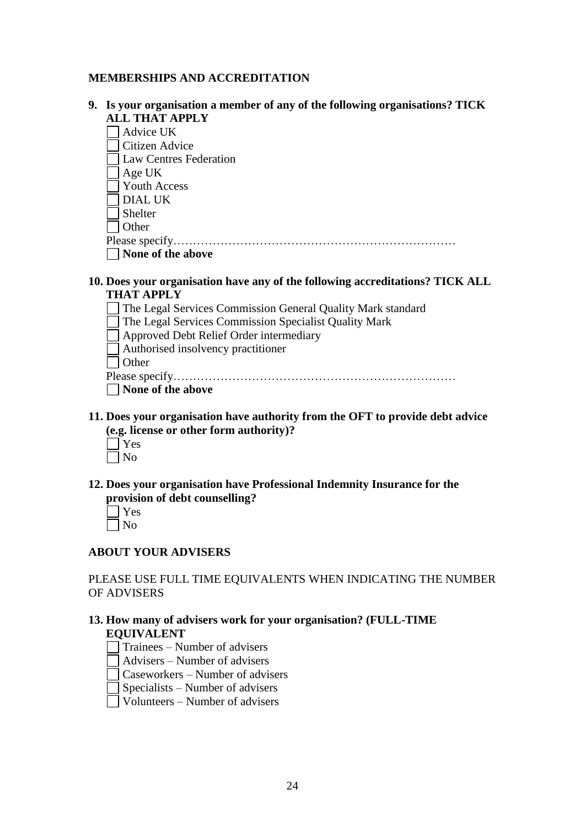## **MEMBERSHIPS AND ACCREDITATION**

**9. Is your organisation a member of any of the following organisations? TICK ALL THAT APPLY**

Advice UK Citizen Advice Law Centres Federation

Age UK

Youth Access

DIAL UK

Shelter

 $\overline{\Box}$  Other

Please specify………………………………………………………………

**None of the above**

## **10. Does your organisation have any of the following accreditations? TICK ALL THAT APPLY**

- The Legal Services Commission General Quality Mark standard
- The Legal Services Commission Specialist Quality Mark
- Approved Debt Relief Order intermediary
- Authorised insolvency practitioner

| $\cdot$ ) then |
|----------------|
|                |

- **None of the above**
- **11. Does your organisation have authority from the OFT to provide debt advice (e.g. license or other form authority)?**
	- Yes  $\Box$ No
- **12. Does your organisation have Professional Indemnity Insurance for the provision of debt counselling?**

## **ABOUT YOUR ADVISERS**

PLEASE USE FULL TIME EQUIVALENTS WHEN INDICATING THE NUMBER OF ADVISERS

## **13. How many of advisers work for your organisation? (FULL-TIME EQUIVALENT**

- Trainees Number of advisers
- Advisers Number of advisers

Caseworkers – Number of advisers

Specialists – Number of advisers

Volunteers – Number of advisers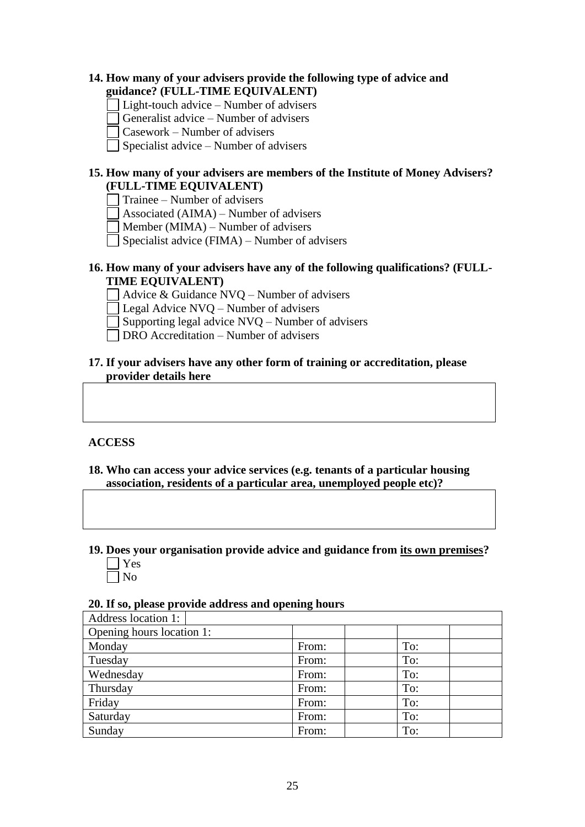## **14. How many of your advisers provide the following type of advice and guidance? (FULL-TIME EQUIVALENT)**

- Light-touch advice Number of advisers
- Generalist advice Number of advisers
- Casework Number of advisers
- Specialist advice Number of advisers

## **15. How many of your advisers are members of the Institute of Money Advisers? (FULL-TIME EQUIVALENT)**

- Trainee Number of advisers
- Associated (AIMA) Number of advisers
- Member (MIMA) Number of advisers
- Specialist advice (FIMA) Number of advisers

## **16. How many of your advisers have any of the following qualifications? (FULL-TIME EQUIVALENT)**

- $\Box$  Advice & Guidance NVQ Number of advisers
- Legal Advice NVQ Number of advisers
- $\Box$  Supporting legal advice NVO Number of advisers
- DRO Accreditation Number of advisers ┓

## **17. If your advisers have any other form of training or accreditation, please provider details here**

## **ACCESS**

- **18. Who can access your advice services (e.g. tenants of a particular housing association, residents of a particular area, unemployed people etc)?**
- **19. Does your organisation provide advice and guidance from its own premises?** Yes
	- $\neg$  No

#### **20. If so, please provide address and opening hours**

| Address location 1:       |       |     |
|---------------------------|-------|-----|
| Opening hours location 1: |       |     |
| Monday                    | From: | To: |
| Tuesday                   | From: | To: |
| Wednesday                 | From: | To: |
| Thursday                  | From: | To: |
| Friday                    | From: | To: |
| Saturday                  | From: | To: |
| Sunday                    | From: | To: |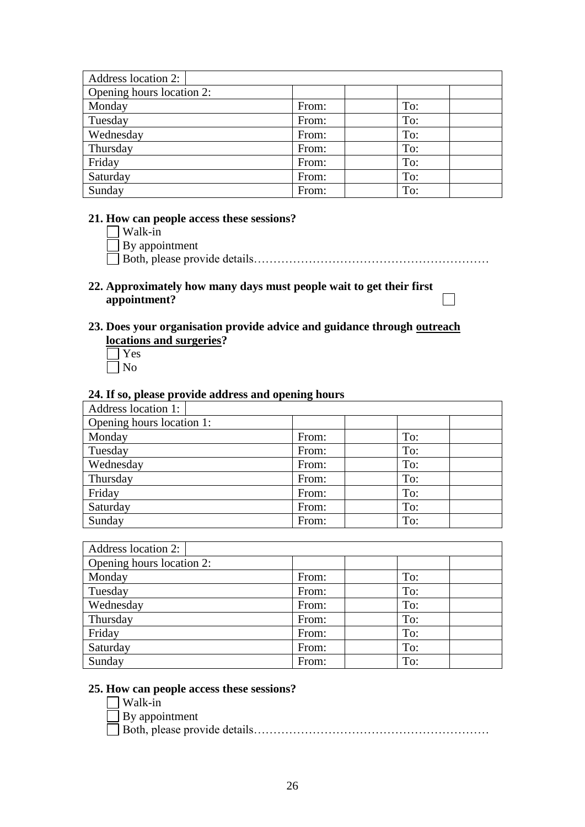| Address location 2:       |       |     |
|---------------------------|-------|-----|
| Opening hours location 2: |       |     |
| Monday                    | From: | To: |
| Tuesday                   | From: | To: |
| Wednesday                 | From: | To: |
| Thursday                  | From: | To: |
| Friday                    | From: | To: |
| Saturday                  | From: | To: |
| Sunday                    | From: | To: |

## **21. How can people access these sessions?**

Walk-in By appointment Both, please provide details……………………………………………………

## **22. Approximately how many days must people wait to get their first appointment?**

## **23. Does your organisation provide advice and guidance through outreach locations and surgeries?**

Yes No

#### **24. If so, please provide address and opening hours**

| <b>Address location 1:</b> |       |     |
|----------------------------|-------|-----|
| Opening hours location 1:  |       |     |
| Monday                     | From: | To: |
| Tuesday                    | From: | To: |
| Wednesday                  | From: | To: |
| Thursday                   | From: | To: |
| Friday                     | From: | To: |
| Saturday                   | From: | To: |
| Sunday                     | From: | To: |

| <b>Address location 2:</b> |       |     |
|----------------------------|-------|-----|
| Opening hours location 2:  |       |     |
| Monday                     | From: | To: |
| Tuesday                    | From: | To: |
| Wednesday                  | From: | To: |
| Thursday                   | From: | To: |
| Friday                     | From: | To: |
| Saturday                   | From: | To: |
| Sunday                     | From: | To: |

## **25. How can people access these sessions?**

Walk-in By appointment Both, please provide details……………………………………………………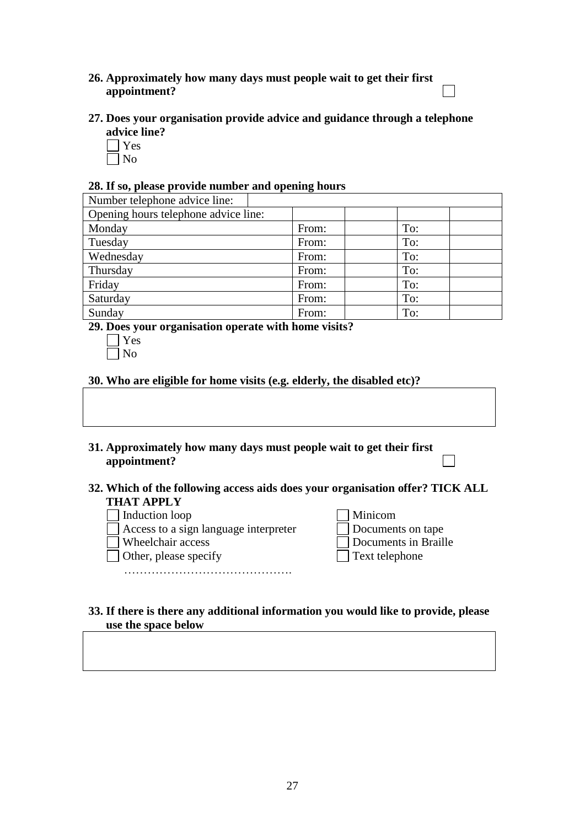## **26. Approximately how many days must people wait to get their first appointment?**

- **27. Does your organisation provide advice and guidance through a telephone advice line?**
	- Yes
	- $\Box$  No

## **28. If so, please provide number and opening hours**

| Number telephone advice line:        |       |     |
|--------------------------------------|-------|-----|
| Opening hours telephone advice line: |       |     |
| Monday                               | From: | To: |
| Tuesday                              | From: | To: |
| Wednesday                            | From: | To: |
| Thursday                             | From: | To: |
| Friday                               | From: | To: |
| Saturday                             | From: | To: |
| Sunday                               | From: | To: |

**29. Does your organisation operate with home visits?**

**30. Who are eligible for home visits (e.g. elderly, the disabled etc)?**

- **31. Approximately how many days must people wait to get their first appointment?**
- **32. Which of the following access aids does your organisation offer? TICK ALL THAT APPLY**
	-
	- Induction loop<br>■ Access to a sign language interpreter<br>■ Wheelchair access  $\Box$  Access to a sign language interpreter
	-
	- $\Box$  Other, please specify

…………………………………….

| Induction loop                        | <b>Minicom</b>           |
|---------------------------------------|--------------------------|
| Access to a sign language interpreter | <b>Documents on tape</b> |
| Wheelchair access                     | Documents in Braille     |
| Other, please specify                 | $\Box$ Text telephone    |

┓

#### **33. If there is there any additional information you would like to provide, please use the space below**